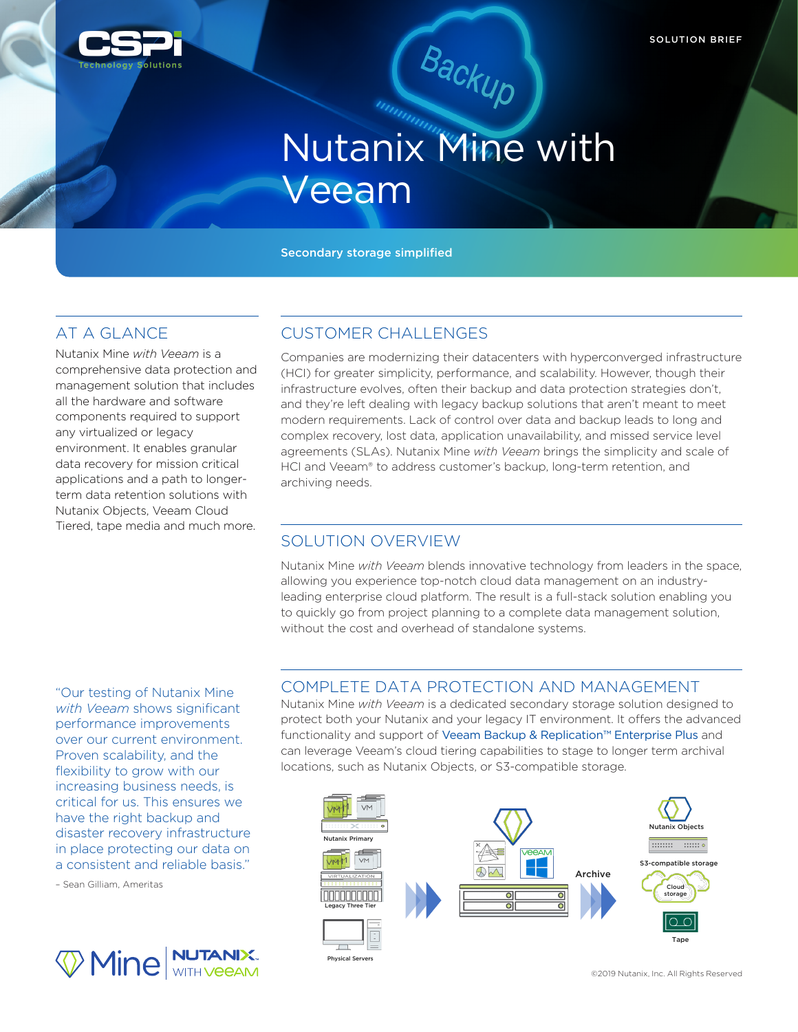

# (Backup)<br>Nutanix Mine with Veeam

Secondary storage simplified

# AT A GLANCE

Nutanix Mine *with Veeam* is a comprehensive data protection and management solution that includes all the hardware and software components required to support any virtualized or legacy environment. It enables granular data recovery for mission critical applications and a path to longerterm data retention solutions with Nutanix Objects, Veeam Cloud Tiered, tape media and much more.

# CUSTOMER CHALLENGES

Companies are modernizing their datacenters with hyperconverged infrastructure (HCI) for greater simplicity, performance, and scalability. However, though their infrastructure evolves, often their backup and data protection strategies don't, and they're left dealing with legacy backup solutions that aren't meant to meet modern requirements. Lack of control over data and backup leads to long and complex recovery, lost data, application unavailability, and missed service level agreements (SLAs). Nutanix Mine *with Veeam* brings the simplicity and scale of HCI and Veeam® to address customer's backup, long-term retention, and archiving needs.

# SOLUTION OVERVIEW

Nutanix Mine *with Veeam* blends innovative technology from leaders in the space, allowing you experience top-notch cloud data management on an industryleading enterprise cloud platform. The result is a full-stack solution enabling you to quickly go from project planning to a complete data management solution, without the cost and overhead of standalone systems.

### COMPLETE DATA PROTECTION AND MANAGEMENT

Nutanix Mine *with Veeam* is a dedicated secondary storage solution designed to protect both your Nutanix and your legacy IT environment. It offers the advanced functionality and support of Veeam Backup & Replication™ Enterprise Plus and can leverage Veeam's cloud tiering capabilities to stage to longer term archival locations, such as Nutanix Objects, or S3-compatible storage.



"Our testing of Nutanix Mine *with Veeam* shows significant performance improvements over our current environment. Proven scalability, and the flexibility to grow with our increasing business needs, is critical for us. This ensures we have the right backup and disaster recovery infrastructure in place protecting our data on a consistent and reliable basis."

– Sean Gilliam, Ameritas



©2019 Nutanix, Inc. All Rights Reserved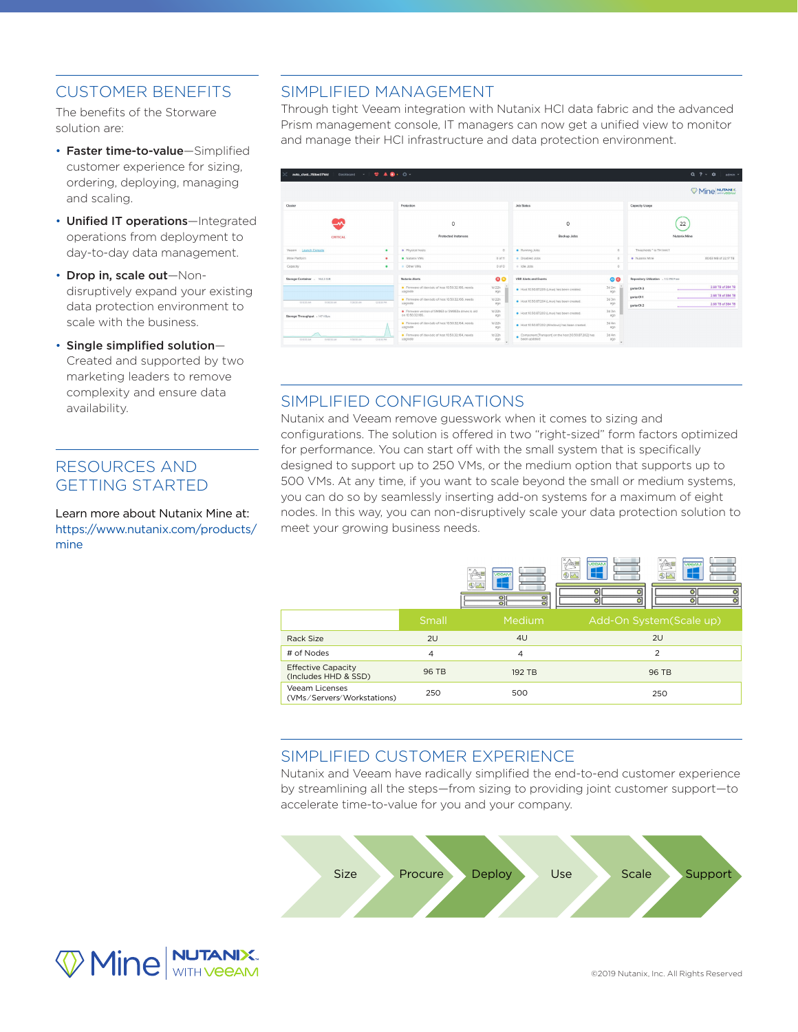# CUSTOMER BENEFITS

The benefits of the Storware solution are:

- Faster time-to-value—Simplified customer experience for sizing, ordering, deploying, managing and scaling.
- Unified IT operations—Integrated operations from deployment to day-to-day data management.
- Drop in, scale out—Nondisruptively expand your existing data protection environment to scale with the business.
- Single simplified solution— Created and supported by two marketing leaders to remove complexity and ensure data availability.

# RESOURCES AND GETTING STARTED

Learn more about Nutanix Mine at: https://www.nutanix.com/products/ mine

### SIMPLIFIED MANAGEMENT

Through tight Veeam integration with Nutanix HCI data fabric and the advanced Prism management console, IT managers can now get a unified view to monitor and manage their HCI infrastructure and data protection environment.

| $9.40 - 0.1$<br>Dashboard v  <br>auto_clust153ae371dd |                                                                        |                |                                                                      |                                          |                                        | $Q$ $? \cdot Q$<br>admin Y             |
|-------------------------------------------------------|------------------------------------------------------------------------|----------------|----------------------------------------------------------------------|------------------------------------------|----------------------------------------|----------------------------------------|
|                                                       |                                                                        |                |                                                                      |                                          |                                        | Mine NUTANIX                           |
| Cluster                                               | Protection                                                             |                | <b>Job Status</b>                                                    | Capacity Usage                           |                                        |                                        |
| <b>CRITICAL</b>                                       | $\circ$<br>Protected Instances                                         |                | $\circ$<br>Backup Jobs                                               |                                          | 22<br>Nutanix Mine                     |                                        |
| Veeam Launch Console<br>٠                             | · Physical hosts                                                       | $^{\circ}$     | · Running Jobs                                                       | $^{\circ}$                               | Thresholds * to TH limit 1             |                                        |
| Mine Platform<br>٠                                    | · Nutanix VMs                                                          | $0$ of $11$    | · Disabled Jobs                                                      | $\circ$                                  | · Nutanix Mine                         | 80.63 MB of 22.17 TB                   |
| Capacity<br>$\bullet$                                 | · Other VMs                                                            | 0 <sub>0</sub> | o Idie Jobs                                                          | $^{\circ}$                               |                                        |                                        |
| Storage Container - 164.2 GB                          | Nutanix Alerts                                                         | $\bullet$      | VBR Alerts and Events                                                | 00                                       | Repository Utilization + 112 PB Free   |                                        |
|                                                       | · Firmware of /dev/sdc of host 10.50.32.166, needs<br>upgrade          | 1d 22h<br>800  | Host 10.50.87.205 (Linux) has been created.                          | $3d$ $2m$<br>ago                         | garter01-3                             | 2.68 TB of 384 TB                      |
| 101830 AM<br>10:58:30 AM<br>T3830 AM<br>12.10.30 PM   | Pirmware of /dev/sdb of host 10.50.32.166, needs<br>upgrade            | 1d 22h<br>800  | Host 10.50.87.204 (Linux) has been created.                          | 3d 3m<br>ago                             | garter011<br>٠<br>garber01-2<br>$\sim$ | 2.68 TB of 384 TB<br>2.68 TB of 384 TB |
| Storage Throughput - 147 KBps                         | · Firmware version of SM863 or SM863a drives is old<br>on 10.50.32.166 | 1d 22h<br>ago  | Host 10.50.87.203 (Linux) has been created.                          | 3d 3m<br>000                             |                                        |                                        |
|                                                       | · Firmware of /dev/sdb of host 10.50.32.154, needs<br>upgrade          | 1d 22h<br>ago  | Host 10.50.87.202 (Windows) has been created.                        | 3d 4m<br>899                             |                                        |                                        |
| 113830 AM<br>101830-M<br>10/68/30 J.M.<br>1218.30 PM  | Pirmwere of /dev/sdc of host 10.50.32.164, needs<br>upgrade            | 1d 22h<br>ago  | Component [Transport] on the host [10.50.87.202] has<br>been updated | 3d 4m<br>ago<br>$\overline{\phantom{a}}$ |                                        |                                        |

### SIMPLIFIED CONFIGURATIONS

Nutanix and Veeam remove guesswork when it comes to sizing and configurations. The solution is offered in two "right-sized" form factors optimized for performance. You can start off with the small system that is specifically designed to support up to 250 VMs, or the medium option that supports up to 500 VMs. At any time, if you want to scale beyond the small or medium systems, you can do so by seamlessly inserting add-on systems for a maximum of eight nodes. In this way, you can non-disruptively scale your data protection solution to meet your growing business needs.

|                                                     |                | <b>VEGAM</b><br>তা<br>$\overline{\circ}$<br>$\overline{\bullet}$<br>$\bullet$ | <b>VEEAM</b><br><b>VEGAM</b><br>43<br>⊕∽ |
|-----------------------------------------------------|----------------|-------------------------------------------------------------------------------|------------------------------------------|
|                                                     | Small          | <b>Medium</b>                                                                 | Add-On System(Scale up)                  |
| Rack Size                                           | 2U             | 4 <sub>U</sub>                                                                | 2U                                       |
| # of Nodes                                          | $\overline{4}$ | $\overline{4}$                                                                | $\overline{2}$                           |
| <b>Effective Capacity</b><br>(Includes HHD & SSD)   | 96 TB          | 192 TB                                                                        | 96 TB                                    |
| <b>Veeam Licenses</b><br>(VMs/Servers/Workstations) | 250            | 500                                                                           | 250                                      |

### SIMPLIFIED CUSTOMER EXPERIENCE

Nutanix and Veeam have radically simplified the end-to-end customer experience by streamlining all the steps—from sizing to providing joint customer support—to accelerate time-to-value for you and your company.